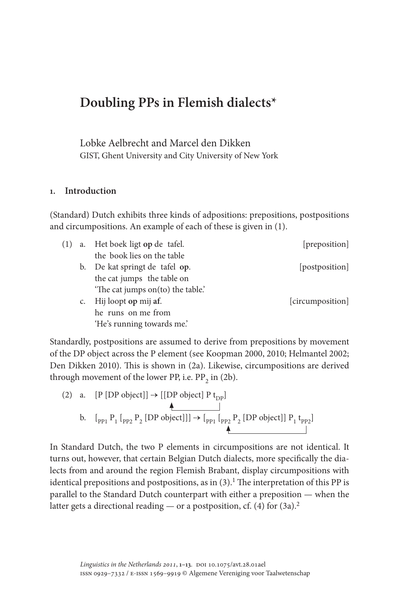# **Doubling PPs in Flemish dialects\***

Lobke Aelbrecht and Marcel den Dikken GIST, Ghent University and City University of New York

### **1. Introduction**

(Standard) Dutch exhibits three kinds of adpositions: prepositions, postpositions and circumpositions. An example of each of these is given in (1).

|             | a. Het boek ligt op de tafel.    | [preposition]       |
|-------------|----------------------------------|---------------------|
|             | the book lies on the table       |                     |
|             | b. De kat springt de tafel op.   | <i>postposition</i> |
|             | the cat jumps the table on       |                     |
|             | The cat jumps on (to) the table. |                     |
| $C_{\star}$ | Hij loopt op mij af.             | [circumposition]    |
|             | he runs on me from               |                     |
|             | 'He's running towards me.'       |                     |

Standardly, postpositions are assumed to derive from prepositions by movement of the DP object across the P element (see Koopman 2000, 2010; Helmantel 2002; Den Dikken 2010). This is shown in (2a). Likewise, circumpositions are derived through movement of the lower PP, i.e.  $PP_2$  in (2b).

(2) a. [P [DP object]] 
$$
\rightarrow
$$
 [[DP object] P t<sub>DP</sub>]  
b.  $[_{PP1} P_1 [_{PP2} P_2 [DP object]]] \rightarrow [_{PP1} [_{PP2} P_2 [DP object]] P_1 t_{PP2}]$ 

In Standard Dutch, the two P elements in circumpositions are not identical. It turns out, however, that certain Belgian Dutch dialects, more specifically the dialects from and around the region Flemish Brabant, display circumpositions with identical prepositions and postpositions, as in  $(3)$ .<sup>1</sup> The interpretation of this PP is parallel to the Standard Dutch counterpart with either a preposition — when the latter gets a directional reading — or a postposition, cf.  $(4)$  for  $(3a)$ <sup>2</sup>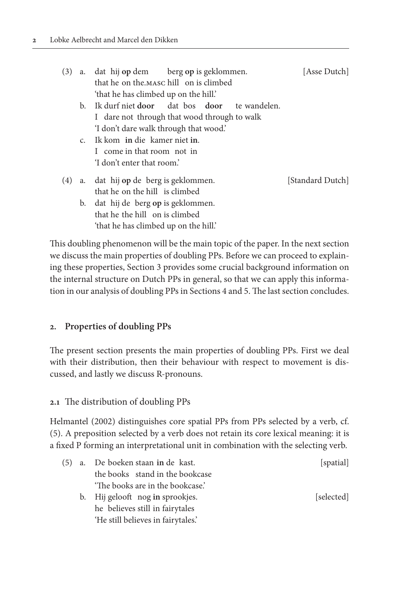| (3) | a.             | dat hij op dem berg op is geklommen.                      | [Asse Dutch]     |
|-----|----------------|-----------------------------------------------------------|------------------|
|     |                | that he on the MASC hill on is climbed                    |                  |
|     |                | 'that he has climbed up on the hill.'                     |                  |
|     | b.             | Ik durf niet <b>door</b> dat bos <b>door</b> te wandelen. |                  |
|     |                | I dare not through that wood through to walk              |                  |
|     |                | 'I don't dare walk through that wood.'                    |                  |
|     | C <sub>1</sub> | Ik kom in die kamer niet in.                              |                  |
|     |                | I come in that room not in                                |                  |
|     |                | 'I don't enter that room.'                                |                  |
| (4) |                | a. dat hij op de berg is geklommen.                       | [Standard Dutch] |
|     |                | that he on the hill is climbed                            |                  |
|     | b.             | dat hij de berg op is geklommen.                          |                  |
|     |                | that he the hill on is climbed                            |                  |
|     |                | 'that he has climbed up on the hill.'                     |                  |

This doubling phenomenon will be the main topic of the paper. In the next section we discuss the main properties of doubling PPs. Before we can proceed to explaining these properties, Section 3 provides some crucial background information on the internal structure on Dutch PPs in general, so that we can apply this information in our analysis of doubling PPs in Sections 4 and 5. The last section concludes.

# **2. Properties of doubling PPs**

The present section presents the main properties of doubling PPs. First we deal with their distribution, then their behaviour with respect to movement is discussed, and lastly we discuss R-pronouns.

# **2.1** The distribution of doubling PPs

Helmantel (2002) distinguishes core spatial PPs from PPs selected by a verb, cf. (5). A preposition selected by a verb does not retain its core lexical meaning: it is a fixed P forming an interpretational unit in combination with the selecting verb.

| (5) | a. De boeken staan in de kast.     | [spatial]  |
|-----|------------------------------------|------------|
|     | the books stand in the bookcase    |            |
|     | 'The books are in the bookcase.'   |            |
|     | b. Hij gelooft nog in sprookjes.   | [selected] |
|     | he believes still in fairytales    |            |
|     | 'He still believes in fairytales.' |            |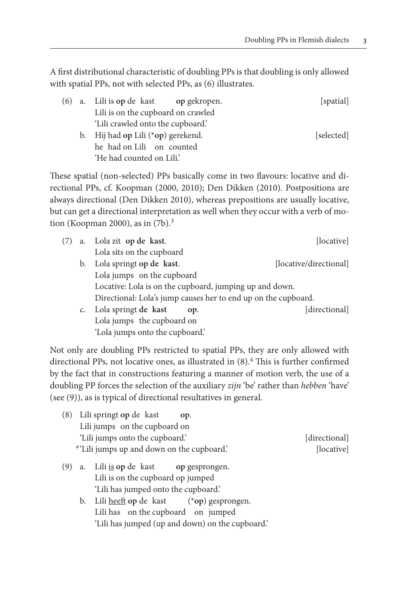A first distributional characteristic of doubling PPs is that doubling is only allowed with spatial PPs, not with selected PPs, as (6) illustrates.

| (6) a. Lili is op de kast op gekropen. | [spatial]  |
|----------------------------------------|------------|
| Lili is on the cupboard on crawled     |            |
| 'Lili crawled onto the cupboard.'      |            |
| b. Hij had op Lili $(*op)$ gerekend.   | [selected] |
| he had on Lili on counted              |            |
| 'He had counted on Lili'               |            |

These spatial (non-selected) PPs basically come in two flavours: locative and directional PPs, cf. Koopman (2000, 2010); Den Dikken (2010). Postpositions are always directional (Den Dikken 2010), whereas prepositions are usually locative, but can get a directional interpretation as well when they occur with a verb of motion (Koopman 2000), as in  $(7b)$ .<sup>3</sup>

|    | a. Lola zit op de kast.                                        | [locative]             |
|----|----------------------------------------------------------------|------------------------|
|    | Lola sits on the cupboard                                      |                        |
| b. | Lola springt op de kast.                                       | [locative/directional] |
|    | Lola jumps on the cupboard                                     |                        |
|    | Locative: Lola is on the cupboard, jumping up and down.        |                        |
|    | Directional: Lola's jump causes her to end up on the cupboard. |                        |
| C. | Lola springt de kast<br>OD.                                    | [directional]          |
|    | Lola jumps the cupboard on                                     |                        |
|    | 'Lola jumps onto the cupboard.'                                |                        |

Not only are doubling PPs restricted to spatial PPs, they are only allowed with directional PPs, not locative ones, as illustrated in  $(8).4$  This is further confirmed by the fact that in constructions featuring a manner of motion verb, the use of a doubling PP forces the selection of the auxiliary *zijn* 'be' rather than *hebben* 'have' (see (9)), as is typical of directional resultatives in general.

| Lili springt op de kast<br>(8)<br>OD.                                                   |               |
|-----------------------------------------------------------------------------------------|---------------|
| Lili jumps on the cupboard on                                                           |               |
| 'Lili jumps onto the cupboard.'                                                         | [directional] |
| "'Lili jumps up and down on the cupboard."                                              | [locative]    |
| a. Lili <u>is</u> op de kast op gesprongen.<br>(9)<br>Lili is on the cupboard op jumped |               |
| 'Lili has jumped onto the cupboard.'                                                    |               |

 b. Lili heeft **op** de kast (\***op**) gesprongen. Lili has on the cupboard on jumped 'Lili has jumped (up and down) on the cupboard.'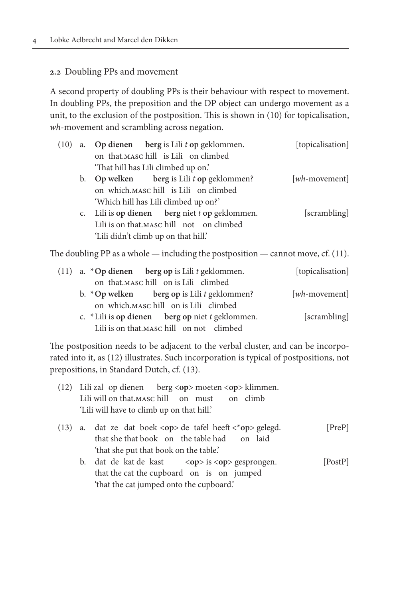### **2.2** Doubling PPs and movement

A second property of doubling PPs is their behaviour with respect to movement. In doubling PPs, the preposition and the DP object can undergo movement as a unit, to the exclusion of the postposition. This is shown in (10) for topicalisation, *wh*-movement and scrambling across negation.

| (10) | a. Op dienen berg is Lili $t$ op geklommen.                                         | [topicalisation] |
|------|-------------------------------------------------------------------------------------|------------------|
|      | on that MASC hill is Lili on climbed                                                |                  |
|      | 'That hill has Lili climbed up on.'                                                 |                  |
|      | b. Op welken berg is Lili t op geklommen?                                           | [wh-movement]    |
|      | on which. MASC hill is Lili on climbed                                              |                  |
|      | 'Which hill has Lili climbed up on?'                                                |                  |
|      | c. Lili is op dienen berg niet $t$ op geklommen.                                    | [scrambling]     |
|      | Lili is on that.MASC hill not on climbed                                            |                  |
|      | 'Lili didn't climb up on that hill.'                                                |                  |
|      | The doubling PP as a whole — including the postposition — cannot move, cf. $(11)$ . |                  |

(11) a. \***Op dienen berg op** is Lili *t* geklommen. [topicalisation] on that.MASC hill on is Lili climbed b. \***Op welken berg op** is Lili *t* geklommen? [*wh*-movement]

 on which.MASC hill on is Lili climbed c. \*Lili is **op dienen berg op** niet *t* geklommen. [scrambling] Lili is on that.MASC hill on not climbed

The postposition needs to be adjacent to the verbal cluster, and can be incorporated into it, as (12) illustrates. Such incorporation is typical of postpositions, not prepositions, in Standard Dutch, cf. (13).

|  | (12) Lili zal op dienen berg <op> moeten <op> klimmen.<br/>Lili will on that MASC hill on must on climb<br/>'Lili will have to climb up on that hill.'</op></op>        |         |
|--|-------------------------------------------------------------------------------------------------------------------------------------------------------------------------|---------|
|  | (13) a. dat ze dat boek <op> de tafel heeft &lt;*op&gt; gelegd.<br/>that she that book on the table had on laid<br/>'that she put that book on the table.'</op>         | [PreP]  |
|  | b. dat de kat de kast $\langle op \rangle$ is $\langle op \rangle$ gesprongen.<br>that the cat the cupboard on is on jumped<br>'that the cat jumped onto the cupboard.' | [PostP] |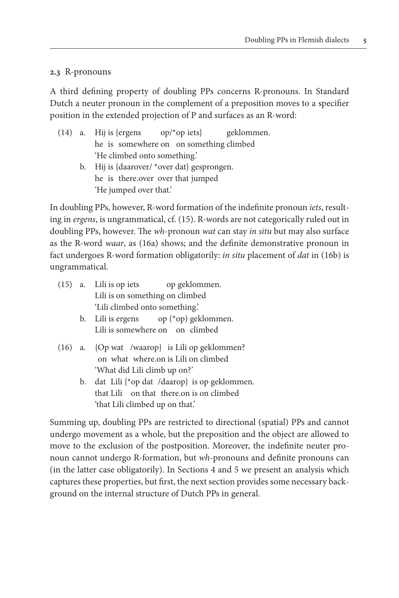# **2.3** R-pronouns

A third defining property of doubling PPs concerns R-pronouns. In Standard Dutch a neuter pronoun in the complement of a preposition moves to a specifier position in the extended projection of P and surfaces as an R-word:

- (14) a. Hij is {ergens op/\*op iets} geklommen. he is somewhere on on something climbed 'He climbed onto something.' b. Hij is {daarover/ \*over dat} gesprongen.
	- he is there.over over that jumped 'He jumped over that.'

In doubling PPs, however, R-word formation of the indefinite pronoun *iets*, resulting in *ergens*, is ungrammatical, cf. (15). R-words are not categorically ruled out in doubling PPs, however. The *wh*-pronoun *wat* can stay *in situ* but may also surface as the R-word *waar*, as (16a) shows; and the definite demonstrative pronoun in fact undergoes R-word formation obligatorily: *in situ* placement of *dat* in (16b) is ungrammatical.

|  | (15) a. Lili is op iets op geklommen.               |
|--|-----------------------------------------------------|
|  | Lili is on something on climbed                     |
|  | 'Lili climbed onto something.'                      |
|  | b. Lili is ergens op $({}^{\ast}$ op) geklommen.    |
|  | Lili is somewhere on on climbed                     |
|  | $(16)$ a. $\{Op$ wat /waarop} is Lili op geklommen? |
|  | on what where on is Lili on climbed                 |
|  | 'What did Lili climb up on?'                        |
|  | b. dat Lili {*op dat /daarop} is op geklommen.      |
|  | that Lili on that there on is on climbed            |
|  | 'that Lili climbed up on that.'                     |

Summing up, doubling PPs are restricted to directional (spatial) PPs and cannot undergo movement as a whole, but the preposition and the object are allowed to move to the exclusion of the postposition. Moreover, the indefinite neuter pronoun cannot undergo R-formation, but *wh*-pronouns and definite pronouns can (in the latter case obligatorily). In Sections 4 and 5 we present an analysis which captures these properties, but first, the next section provides some necessary background on the internal structure of Dutch PPs in general.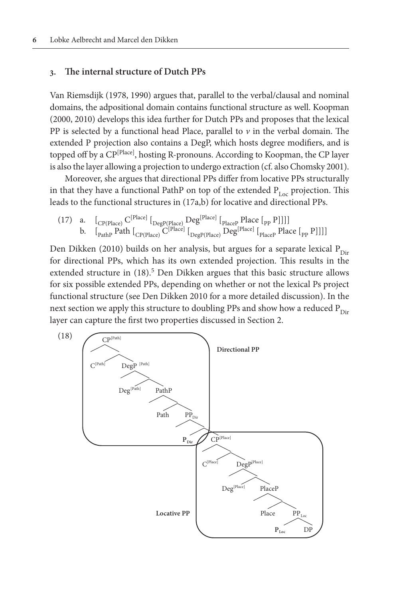#### **3. The internal structure of Dutch PPs**

Van Riemsdijk (1978, 1990) argues that, parallel to the verbal/clausal and nominal domains, the adpositional domain contains functional structure as well. Koopman (2000, 2010) develops this idea further for Dutch PPs and proposes that the lexical PP is selected by a functional head Place, parallel to  $\nu$  in the verbal domain. The extended P projection also contains a DegP, which hosts degree modifiers, and is topped off by a CP<sup>[Place]</sup>, hosting R-pronouns. According to Koopman, the CP layer is also the layer allowing a projection to undergo extraction (cf. also Chomsky 2001).

Moreover, she argues that directional PPs differ from locative PPs structurally in that they have a functional PathP on top of the extended  $P_{Loc}$  projection. This leads to the functional structures in (17a,b) for locative and directional PPs.

(17) a. 
$$
\left[\begin{array}{cc}C^{[Place]} \left[\begin{array}{c}Deg^{[Place]} \end{array} \right]_{\text{DegP}(Place)}\right]_{\text{Page}} \text{PlaceP} \left[\begin{array}{c}P|acc \end{array} \right]_{\text{placeP}} \text{PlaceP} \left[\begin{array}{c}P|acc \end{array} \right]_{\text{placeP}} \text{PlaceP} \left[\begin{array}{c}P|acc \end{array} \right]_{\text{placeP}} \text{PlaceP} \left[\begin{array}{c}P|acc \end{array} \right]_{\text{placeP}} \text{PlaceP} \left[\begin{array}{c}P|acc \end{array} \right]_{\text{placeP}} \text{PlaceP} \left[\begin{array}{c}P|acc \end{array} \right]_{\text{TrueP}} \text{PlaceP} \left[\begin{array}{c}P|vec \end{array} \right]_{\text{TrueP}} \text{PlaceP} \left[\begin{array}{c}P|vec \end{array} \right]_{\text{TrueP}} \text{PlaceP} \left[\begin{array}{c}P|vec \end{array} \right]_{\text{TrueP}} \text{PlaceP} \left[\begin{array}{c}P|vec \end{array} \right]_{\text{TrueP}} \text{PlaceP} \left[\begin{array}{c}P|vec \end{array} \right]_{\text{TrueP}} \text{PlaceP} \left[\begin{array}{c}P|vec \end{array} \right]_{\text{TrueP}} \text{TrueP} \text{TrueP} \left[\begin{array}{c}P|vec \end{array} \right]_{\text{TrueP}} \text{TrueP} \text{TrueP} \left[\begin{array}{c}P|vec \end{array} \right]_{\text{TrueP}} \text{TrueP} \text{TrueP} \left[\begin{array}{c}P|vec \end{array} \right]_{\text{TrueP}} \text{TrueP} \text{TrueP} \text{TrueP} \text{TrueP} \text{TrueP} \text{TrueP} \text{TrueP} \text{TrueP} \text{TrueP} \text{TrueP} \text{TrueP} \text{TrueP} \text{TrueP} \text{TrueP} \text{TrueP} \text{TrueP} \text{TrueP} \text{TrueP} \text{TrueP} \text{TrueP} \text{TrueP} \text{TrueP} \text{TrueP} \text{TrueP} \text{TrueP} \text{TrueP} \text{TrueP} \text{TrueP} \text{TrueP} \text{TrueP} \text{TrueP} \text{
$$

Den Dikken (2010) builds on her analysis, but argues for a separate lexical  $P_{Dir}$ for directional PPs, which has its own extended projection. This results in the extended structure in (18).<sup>5</sup> Den Dikken argues that this basic structure allows for six possible extended PPs, depending on whether or not the lexical Ps project functional structure (see Den Dikken 2010 for a more detailed discussion). In the next section we apply this structure to doubling PPs and show how a reduced  $P_{Dir}$ layer can capture the first two properties discussed in Section 2.

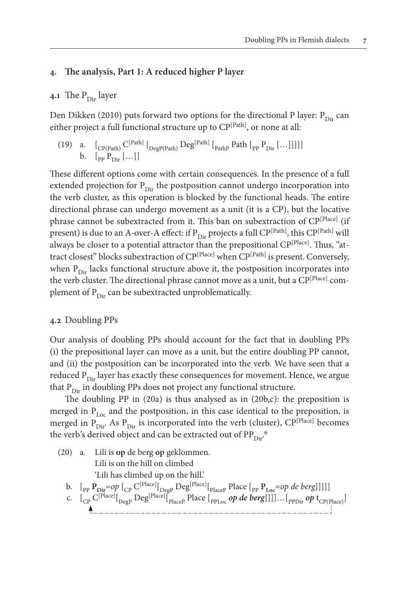### **4. The analysis, Part 1: A reduced higher P layer**

## **4.1** The  $P_{\text{Dir}}$  layer

Den Dikken (2010) puts forward two options for the directional P layer:  $P_{Dir}$  can either project a full functional structure up to  $\mathbb{CP}^{[Path]}$ , or none at all:

(19) a. 
$$
\left[\begin{array}{cc}C^{[Path]} & \end{array}\right]
$$
 $\left[\begin{array}{cc}C^{[Path]} & \end{array}\right]$  $\left[\begin{array}{cc}Deg^{[Path]} & \end{array}\right]$  $\left[\begin{array}{cc}P_{\text{air}} & \end{array}\right]$  $\left[\begin{array}{cc}Deg^{[Path]} & \end{array}\right]$  $\left[\begin{array}{cc}P_{\text{Dir}} & \end{array}\right]$ 

These different options come with certain consequences. In the presence of a full extended projection for  $P_{Dir}$  the postposition cannot undergo incorporation into the verb cluster, as this operation is blocked by the functional heads. The entire directional phrase can undergo movement as a unit (it is a CP), but the locative phrase cannot be subextracted from it. This ban on subextraction of CP<sup>[Place]</sup> (if present) is due to an A-over-A effect: if  $P_{Dir}$  projects a full CP<sup>[Path]</sup>, this CP<sup>[Path]</sup> will always be closer to a potential attractor than the prepositional CP<sup>[Place]</sup>. Thus, "attract closest" blocks subextraction of CP<sup>[Place]</sup> when CP<sup>[Path]</sup> is present. Conversely, when  $P_{Dir}$  lacks functional structure above it, the postposition incorporates into the verb cluster. The directional phrase cannot move as a unit, but a CP<sup>[Place]</sup> complement of  $P_{Dir}$  can be subextracted unproblematically.

#### **4.2** Doubling PPs

Our analysis of doubling PPs should account for the fact that in doubling PPs (i) the prepositional layer can move as a unit, but the entire doubling PP cannot, and (ii) the postposition can be incorporated into the verb. We have seen that a reduced  $P_{Dir}$  layer has exactly these consequences for movement. Hence, we argue that  $P_{Dir}$  in doubling PPs does not project any functional structure.

The doubling PP in (20a) is thus analysed as in (20b,c): the preposition is merged in  $P_{Loc}$  and the postposition, in this case identical to the preposition, is merged in  $P_{Dir}$ . As  $P_{Dir}$  is incorporated into the verb (cluster),  $\text{CP}^{[Place]}$  becomes the verb's derived object and can be extracted out of  $\text{PP}_{\text{Dir}}^{\text{6}}$ 

(20) a. Lili is **op** de berg **op** geklommen. Lili is on the hill on climbed 'Lili has climbed up on the hill.' b.  $\left[\begin{smallmatrix}p_{\text{p}}&p_{\text{Dir}}=op&p_{\text{C}}&p_{\text{P}}&p_{\text{B}}&p_{\text{B}}&p_{\text{B}}&p_{\text{B}}&p_{\text{B}}&p_{\text{B}}&p_{\text{B}}&p_{\text{B}}&p_{\text{B}}&p_{\text{B}}&p_{\text{B}}&p_{\text{B}}&p_{\text{B}}&p_{\text{B}}&p_{\text{B}}&p_{\text{B}}&p_{\text{B}}&p_{\text{B}}&p_{\text{B}}&p_{\text{B}}&p_{\text{B}}&p_{\text{B}}$ c.  $\left.\left.\right[_{\text{CP}}\text{C}^{[\text{Place}]}[\text{p}_{\text{age}}\text{Deg}^{[\text{Place}]}[\text{p}_{\text{lace}}] \text{Place}\left.\text{p}_{\text{PPLoc}}\text{ } \text{op}\text{ } \text{de}\text{ } \text{berg}\right]\right]\right]...\left[\text{p}_{\text{PDir}}\text{ } \text{op}\text{ } \text{t}_{\text{CP(Place)}}\right]$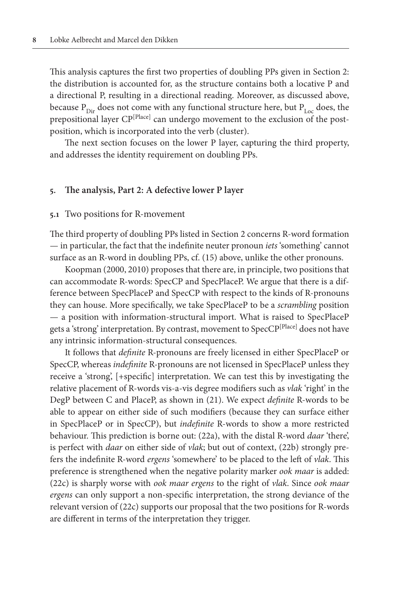This analysis captures the first two properties of doubling PPs given in Section 2: the distribution is accounted for, as the structure contains both a locative P and a directional P, resulting in a directional reading. Moreover, as discussed above, because  $P_{Dir}$  does not come with any functional structure here, but  $P_{Lie}$  does, the prepositional layer CP<sup>[Place]</sup> can undergo movement to the exclusion of the postposition, which is incorporated into the verb (cluster).

The next section focuses on the lower P layer, capturing the third property, and addresses the identity requirement on doubling PPs.

#### **5. The analysis, Part 2: A defective lower P layer**

#### **5.1** Two positions for R-movement

The third property of doubling PPs listed in Section 2 concerns R-word formation — in particular, the fact that the indefinite neuter pronoun *iets* 'something' cannot surface as an R-word in doubling PPs, cf. (15) above, unlike the other pronouns.

Koopman (2000, 2010) proposes that there are, in principle, two positions that can accommodate R-words: SpecCP and SpecPlaceP. We argue that there is a difference between SpecPlaceP and SpecCP with respect to the kinds of R-pronouns they can house. More specifically, we take SpecPlaceP to be a *scrambling* position — a position with information-structural import. What is raised to SpecPlaceP gets a 'strong' interpretation. By contrast, movement to SpecCP[Place] does not have any intrinsic information-structural consequences.

It follows that *definite* R-pronouns are freely licensed in either SpecPlaceP or SpecCP, whereas *indefinite* R-pronouns are not licensed in SpecPlaceP unless they receive a 'strong', [+specific] interpretation. We can test this by investigating the relative placement of R-words vis-a-vis degree modifiers such as *vlak* 'right' in the DegP between C and PlaceP, as shown in (21). We expect *definite* R-words to be able to appear on either side of such modifiers (because they can surface either in SpecPlaceP or in SpecCP), but *indefinite* R-words to show a more restricted behaviour. This prediction is borne out: (22a), with the distal R-word *daar* 'there', is perfect with *daar* on either side of *vlak*; but out of context, (22b) strongly prefers the indefinite R-word *ergens* 'somewhere' to be placed to the left of *vlak*. This preference is strengthened when the negative polarity marker *ook maar* is added: (22c) is sharply worse with *ook maar ergens* to the right of *vlak*. Since *ook maar ergens* can only support a non-specific interpretation, the strong deviance of the relevant version of (22c) supports our proposal that the two positions for R-words are different in terms of the interpretation they trigger.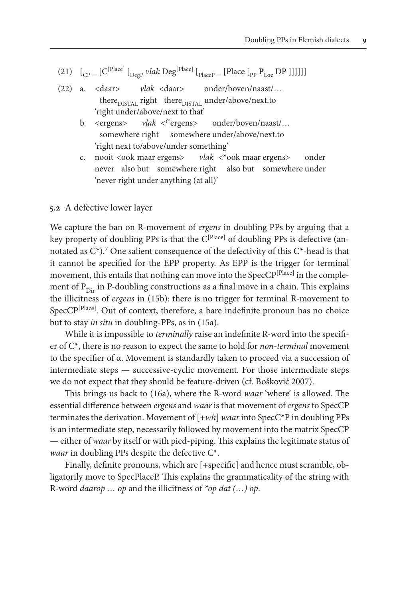- (21)  $\left[ C_{\text{CP}} \left[ C^{[\text{Place}]} \right]_{\text{Deep}}$  *vlak* Deg<sup>[Place]</sup>  $\left[ P_{\text{lace}} \left[ \text{Place} \left[ P_{\text{p}} P_{\text{Loc}} \text{DP} \right] \right] \right] \right]$
- (22) a. <daar> *vlak* <daar> onder/boven/naast/… there<sub>DISTAL</sub> right there<sub>DISTAL</sub> under/above/next.to 'right under/above/next to that'
	- b. <ergens> *vlak* <??ergens> onder/boven/naast/… somewhere right somewhere under/above/next.to 'right next to/above/under something'
	- c. nooit <ook maar ergens> *vlak* <\*ook maar ergens> onder never also but somewhere right also but somewhere under 'never right under anything (at all)'

#### **5.2** A defective lower layer

We capture the ban on R-movement of *ergens* in doubling PPs by arguing that a key property of doubling PPs is that the C<sup>[Place]</sup> of doubling PPs is defective (annotated as  $C^*$ ).<sup>7</sup> One salient consequence of the defectivity of this  $C^*$ -head is that it cannot be specified for the EPP property. As EPP is the trigger for terminal movement, this entails that nothing can move into the SpecCP<sup>[Place]</sup> in the complement of  $P_{Dir}$  in P-doubling constructions as a final move in a chain. This explains the illicitness of *ergens* in (15b): there is no trigger for terminal R-movement to SpecCP<sup>[Place]</sup>. Out of context, therefore, a bare indefinite pronoun has no choice but to stay *in situ* in doubling-PPs, as in (15a).

While it is impossible to *terminally* raise an indefinite R-word into the specifier of C\*, there is no reason to expect the same to hold for *non-terminal* movement to the specifier of α. Movement is standardly taken to proceed via a succession of intermediate steps — successive-cyclic movement. For those intermediate steps we do not expect that they should be feature-driven (cf. Bošković 2007).

This brings us back to (16a), where the R-word *waar* 'where' is allowed. The essential difference between *ergens* and *waar* is that movement of *ergens* to SpecCP terminates the derivation. Movement of [+*wh*] *waar* into SpecC\*P in doubling PPs is an intermediate step, necessarily followed by movement into the matrix SpecCP — either of *waar* by itself or with pied-piping. This explains the legitimate status of *waar* in doubling PPs despite the defective C\*.

Finally, definite pronouns, which are [+specific] and hence must scramble, obligatorily move to SpecPlaceP. This explains the grammaticality of the string with R-word *daarop … op* and the illicitness of *\*op dat (…) op*.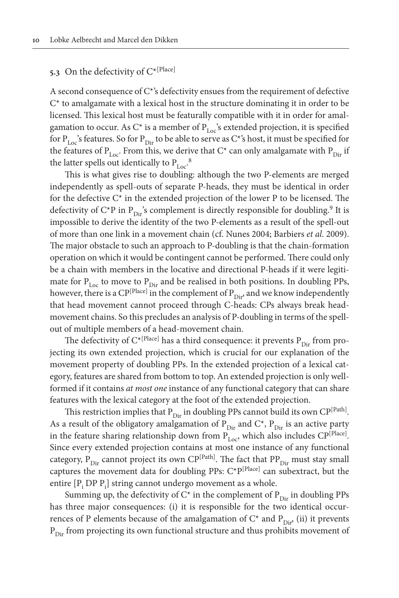# **5.3** On the defectivity of C\*[Place]

A second consequence of C\*'s defectivity ensues from the requirement of defective  $C^*$  to amalgamate with a lexical host in the structure dominating it in order to be licensed. This lexical host must be featurally compatible with it in order for amalgamation to occur. As C\* is a member of  $P_{Loc}$ 's extended projection, it is specified for P<sub>Loc</sub>'s features. So for P<sub>Dir</sub> to be able to serve as C<sup>\*</sup>'s host, it must be specified for the features of  $P_{Loc}$ . From this, we derive that  $C^*$  can only amalgamate with  $P_{Dir}$  if the latter spells out identically to  $P_{Loc}$ <sup>8</sup>

This is what gives rise to doubling: although the two P-elements are merged independently as spell-outs of separate P-heads, they must be identical in order for the defective C\* in the extended projection of the lower P to be licensed. The defectivity of C\*P in  $P_{\text{Dir}}$ 's complement is directly responsible for doubling.<sup>9</sup> It is impossible to derive the identity of the two P-elements as a result of the spell-out of more than one link in a movement chain (cf. Nunes 2004; Barbiers *et al*. 2009). The major obstacle to such an approach to P-doubling is that the chain-formation operation on which it would be contingent cannot be performed. There could only be a chain with members in the locative and directional P-heads if it were legitimate for  $P_{Loc}$  to move to  $P_{Dir}$  and be realised in both positions. In doubling PPs, however, there is a  $\mathbb{CP}^{[Place]}$  in the complement of  $P_{Dir}$  and we know independently that head movement cannot proceed through C-heads: CPs always break headmovement chains. So this precludes an analysis of P-doubling in terms of the spellout of multiple members of a head-movement chain.

The defectivity of  $C^{*[Place]}$  has a third consequence: it prevents  $P_{Dir}$  from projecting its own extended projection, which is crucial for our explanation of the movement property of doubling PPs. In the extended projection of a lexical category, features are shared from bottom to top. An extended projection is only wellformed if it contains *at most one* instance of any functional category that can share features with the lexical category at the foot of the extended projection.

This restriction implies that  $P_{Dir}$  in doubling PPs cannot build its own CP<sup>[Path]</sup>. As a result of the obligatory amalgamation of  $P_{Dir}$  and  $C^*$ ,  $P_{Dir}$  is an active party in the feature sharing relationship down from  $P_{Loc}$ , which also includes CP<sup>[Place]</sup>. Since every extended projection contains at most one instance of any functional category,  $P_{Dir}$  cannot project its own CP<sup>[Path]</sup>. The fact that PP<sub>Dir</sub> must stay small captures the movement data for doubling PPs: C\*P[Place] can subextract, but the entire  $[P_i]$  DP  $P_i]$  string cannot undergo movement as a whole.

Summing up, the defectivity of  $C^*$  in the complement of  $P_{Dir}$  in doubling PPs has three major consequences: (i) it is responsible for the two identical occurrences of P elements because of the amalgamation of  $C^*$  and  $P_{\text{Dir}}$  (ii) it prevents  $P_{Dir}$  from projecting its own functional structure and thus prohibits movement of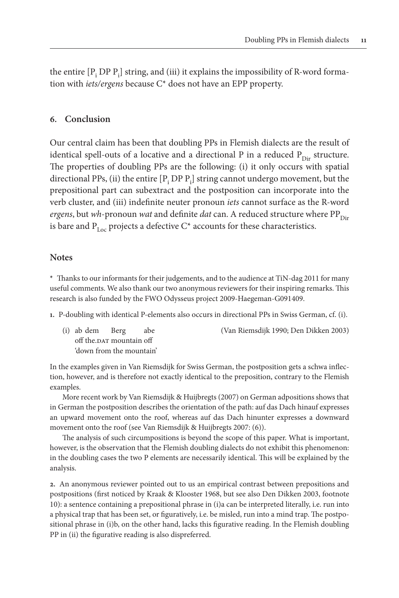the entire  $[P_i\,DP\, P_i]$  string, and (iii) it explains the impossibility of R-word formation with *iets/ergens* because C\* does not have an EPP property.

# **6. Conclusion**

Our central claim has been that doubling PPs in Flemish dialects are the result of identical spell-outs of a locative and a directional P in a reduced  $P_{Dir}$  structure. The properties of doubling PPs are the following: (i) it only occurs with spatial directional PPs, (ii) the entire  $[P_i D P]_i$  string cannot undergo movement, but the prepositional part can subextract and the postposition can incorporate into the verb cluster, and (iii) indefinite neuter pronoun *iets* cannot surface as the R-word *ergens*, but *wh*-pronoun *wat* and definite *dat* can. A reduced structure where PP<sub>Dir</sub> is bare and  $P_{Lo}$  projects a defective  $C^*$  accounts for these characteristics.

#### **Notes**

**\*** Thanks to our informants for their judgements, and to the audience at TiN-dag 2011 for many useful comments. We also thank our two anonymous reviewers for their inspiring remarks. This research is also funded by the FWO Odysseus project 2009-Haegeman-G091409.

**1.** P-doubling with identical P-elements also occurs in directional PPs in Swiss German, cf. (i).

 off the.DAT mountain off 'down from the mountain'

(i) ab dem Berg abe (Van Riemsdijk 1990; Den Dikken 2003)

In the examples given in Van Riemsdijk for Swiss German, the postposition gets a schwa inflection, however, and is therefore not exactly identical to the preposition, contrary to the Flemish examples.

More recent work by Van Riemsdijk & Huijbregts (2007) on German adpositions shows that in German the postposition describes the orientation of the path: auf das Dach hinauf expresses an upward movement onto the roof, whereas auf das Dach hinunter expresses a downward movement onto the roof (see Van Riemsdijk & Huijbregts 2007: (6)).

The analysis of such circumpositions is beyond the scope of this paper. What is important, however, is the observation that the Flemish doubling dialects do not exhibit this phenomenon: in the doubling cases the two P elements are necessarily identical. This will be explained by the analysis.

**2.** An anonymous reviewer pointed out to us an empirical contrast between prepositions and postpositions (first noticed by Kraak & Klooster 1968, but see also Den Dikken 2003, footnote 10): a sentence containing a prepositional phrase in (i)a can be interpreted literally, i.e. run into a physical trap that has been set, or figuratively, i.e. be misled, run into a mind trap. The postpositional phrase in (i)b, on the other hand, lacks this figurative reading. In the Flemish doubling PP in (ii) the figurative reading is also dispreferred.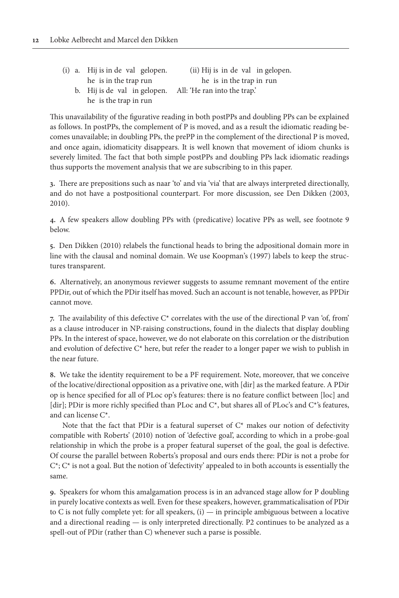| (i) a. Hij is in de val gelopen. | (ii) Hij is in de val in gelopen. |
|----------------------------------|-----------------------------------|
| he is in the trap run            | he is in the trap in run          |
| b. Hij is de val in gelopen.     | All: 'He ran into the trap.'      |
| he is the trap in run            |                                   |

This unavailability of the figurative reading in both postPPs and doubling PPs can be explained as follows. In postPPs, the complement of P is moved, and as a result the idiomatic reading becomes unavailable; in doubling PPs, the prePP in the complement of the directional P is moved, and once again, idiomaticity disappears. It is well known that movement of idiom chunks is severely limited. The fact that both simple postPPs and doubling PPs lack idiomatic readings thus supports the movement analysis that we are subscribing to in this paper.

**3.** There are prepositions such as naar 'to' and via 'via' that are always interpreted directionally, and do not have a postpositional counterpart. For more discussion, see Den Dikken (2003, 2010).

**4.** A few speakers allow doubling PPs with (predicative) locative PPs as well, see footnote 9 below.

**5.** Den Dikken (2010) relabels the functional heads to bring the adpositional domain more in line with the clausal and nominal domain. We use Koopman's (1997) labels to keep the structures transparent.

**6.** Alternatively, an anonymous reviewer suggests to assume remnant movement of the entire PPDir, out of which the PDir itself has moved. Such an account is not tenable, however, as PPDir cannot move.

**7.** The availability of this defective C\* correlates with the use of the directional P van 'of, from' as a clause introducer in NP-raising constructions, found in the dialects that display doubling PPs. In the interest of space, however, we do not elaborate on this correlation or the distribution and evolution of defective  $C^*$  here, but refer the reader to a longer paper we wish to publish in the near future.

**8.** We take the identity requirement to be a PF requirement. Note, moreover, that we conceive of the locative/directional opposition as a privative one, with [dir] as the marked feature. A PDir op is hence specified for all of PLoc op's features: there is no feature conflict between [loc] and [dir]; PDir is more richly specified than PLoc and C\*, but shares all of PLoc's and C\*'s features, and can license C\*.

Note that the fact that PDir is a featural superset of  $C^*$  makes our notion of defectivity compatible with Roberts' (2010) notion of 'defective goal', according to which in a probe-goal relationship in which the probe is a proper featural superset of the goal, the goal is defective. Of course the parallel between Roberts's proposal and ours ends there: PDir is not a probe for  $C^*$ ;  $C^*$  is not a goal. But the notion of 'defectivity' appealed to in both accounts is essentially the same.

**9.** Speakers for whom this amalgamation process is in an advanced stage allow for P doubling in purely locative contexts as well. Even for these speakers, however, grammaticalisation of PDir to C is not fully complete yet: for all speakers,  $(i)$  — in principle ambiguous between a locative and a directional reading — is only interpreted directionally. P2 continues to be analyzed as a spell-out of PDir (rather than C) whenever such a parse is possible.